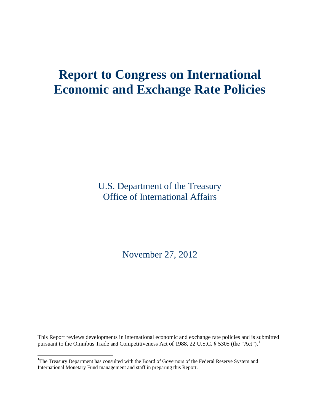# **Report to Congress on International Economic and Exchange Rate Policies**

U.S. Department of the Treasury Office of International Affairs

November 27, 2012

This Report reviews developments in international economic and exchange rate policies and is submitted pursuant to the Omnibus Trade and Competitiveness Act of [1](#page-2-0)988, 22 U.S.C. § 5305 (the "Act").<sup>1</sup>

<span id="page-0-0"></span><sup>&</sup>lt;sup>1</sup>The Treasury Department has consulted with the Board of Governors of the Federal Reserve System and International Monetary Fund management and staff in preparing this Report.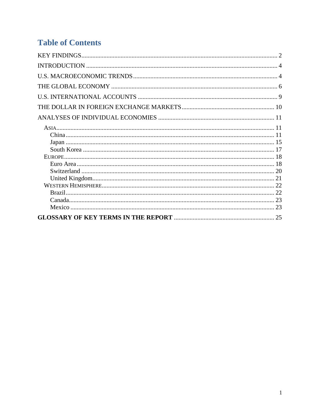# **Table of Contents**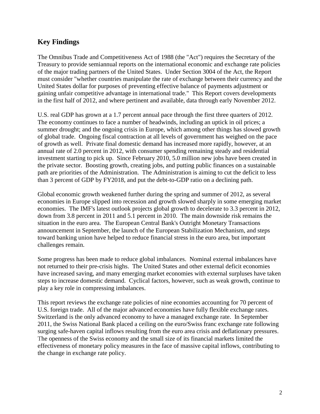# <span id="page-2-1"></span>**Key Findings**

The Omnibus Trade and Competitiveness Act of 1988 (the "Act") requires the Secretary of the Treasury to provide semiannual reports on the international economic and exchange rate policies of the major trading partners of the United States. Under Section 3004 of the Act, the Report must consider "whether countries manipulate the rate of exchange between their currency and the United States dollar for purposes of preventing effective balance of payments adjustment or gaining unfair competitive advantage in international trade." This Report covers developments in the first half of 2012, and where pertinent and available, data through early November 2012.

U.S. real GDP has grown at a 1.7 percent annual pace through the first three quarters of 2012. The economy continues to face a number of headwinds, including an uptick in oil prices; a summer drought; and the ongoing crisis in Europe, which among other things has slowed growth of global trade. Ongoing fiscal contraction at all levels of government has weighed on the pace of growth as well. Private final domestic demand has increased more rapidly, however, at an annual rate of 2.0 percent in 2012, with consumer spending remaining steady and residential investment starting to pick up. Since February 2010, 5.0 million new jobs have been created in the private sector. Boosting growth, creating jobs, and putting public finances on a sustainable path are priorities of the Administration. The Administration is aiming to cut the deficit to less than 3 percent of GDP by FY2018, and put the debt-to-GDP ratio on a declining path.

Global economic growth weakened further during the spring and summer of 2012, as several economies in Europe slipped into recession and growth slowed sharply in some emerging market economies. The IMF's latest outlook projects global growth to decelerate to 3.3 percent in 2012, down from 3.8 percent in 2011 and 5.1 percent in 2010. The main downside risk remains the situation in the euro area. The European Central Bank's Outright Monetary Transactions announcement in September, the launch of the European Stabilization Mechanism, and steps toward banking union have helped to reduce financial stress in the euro area, but important challenges remain.

Some progress has been made to reduce global imbalances. Nominal external imbalances have not returned to their pre-crisis highs. The United States and other external deficit economies have increased saving, and many emerging market economies with external surpluses have taken steps to increase domestic demand. Cyclical factors, however, such as weak growth, continue to play a key role in compressing imbalances.

<span id="page-2-0"></span>This report reviews the exchange rate policies of nine economies accounting for 70 percent of U.S. foreign trade. All of the major advanced economies have fully flexible exchange rates. Switzerland is the only advanced economy to have a managed exchange rate. In September 2011, the Swiss National Bank placed a ceiling on the euro/Swiss franc exchange rate following surging safe-haven capital inflows resulting from the euro area crisis and deflationary pressures. The openness of the Swiss economy and the small size of its financial markets limited the effectiveness of monetary policy measures in the face of massive capital inflows, contributing to the change in exchange rate policy.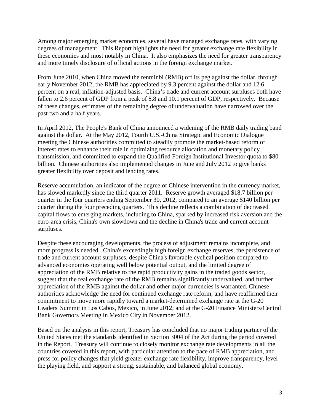Among major emerging market economies, several have managed exchange rates, with varying degrees of management. This Report highlights the need for greater exchange rate flexibility in these economies and most notably in China. It also emphasizes the need for greater transparency and more timely disclosure of official actions in the foreign exchange market.

From June 2010, when China moved the renminbi (RMB) off its peg against the dollar, through early November 2012, the RMB has appreciated by 9.3 percent against the dollar and 12.6 percent on a real, inflation-adjusted basis. China's trade and current account surpluses both have fallen to 2.6 percent of GDP from a peak of 8.8 and 10.1 percent of GDP, respectively. Because of these changes, estimates of the remaining degree of undervaluation have narrowed over the past two and a half years.

In April 2012, The People's Bank of China announced a widening of the RMB daily trading band against the dollar. At the May 2012, Fourth U.S.-China Strategic and Economic Dialogue meeting the Chinese authorities committed to steadily promote the market-based reform of interest rates to enhance their role in optimizing resource allocation and monetary policy transmission, and committed to expand the Qualified Foreign Institutional Investor quota to \$80 billion. Chinese authorities also implemented changes in June and July 2012 to give banks greater flexibility over deposit and lending rates.

Reserve accumulation, an indicator of the degree of Chinese intervention in the currency market, has slowed markedly since the third quarter 2011. Reserve growth averaged \$18.7 billion per quarter in the four quarters ending September 30, 2012, compared to an average \$140 billion per quarter during the four preceding quarters. This decline reflects a combination of decreased capital flows to emerging markets, including to China, sparked by increased risk aversion and the euro-area crisis, China's own slowdown and the decline in China's trade and current account surpluses.

Despite these encouraging developments, the process of adjustment remains incomplete, and more progress is needed. China's exceedingly high foreign exchange reserves, the persistence of trade and current account surpluses, despite China's favorable cyclical position compared to advanced economies operating well below potential output, and the limited degree of appreciation of the RMB relative to the rapid productivity gains in the traded goods sector, suggest that the real exchange rate of the RMB remains significantly undervalued, and further appreciation of the RMB against the dollar and other major currencies is warranted. Chinese authorities acknowledge the need for continued exchange rate reform, and have reaffirmed their commitment to move more rapidly toward a market-determined exchange rate at the G-20 Leaders' Summit in Los Cabos, Mexico, in June 2012; and at the G-20 Finance Ministers/Central Bank Governors Meeting in Mexico City in November 2012.

Based on the analysis in this report, Treasury has concluded that no major trading partner of the United States met the standards identified in Section 3004 of the Act during the period covered in the Report. Treasury will continue to closely monitor exchange rate developments in all the countries covered in this report, with particular attention to the pace of RMB appreciation, and press for policy changes that yield greater exchange rate flexibility, improve transparency, level the playing field, and support a strong, sustainable, and balanced global economy.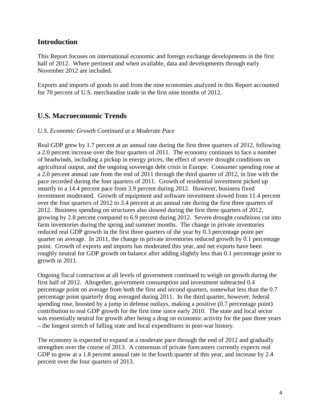# <span id="page-4-0"></span>**Introduction**

This Report focuses on international economic and foreign exchange developments in the first half of 2012. Where pertinent and when available, data and developments through early November 2012 are included.

Exports and imports of goods to and from the nine economies analyzed in this Report accounted for 70 percent of U.S. merchandise trade in the first nine months of 2012.

# <span id="page-4-1"></span>**U.S. Macroeconomic Trends**

#### *U.S. Economic Growth Continued at a Moderate Pace*

Real GDP grew by 1.7 percent at an annual rate during the first three quarters of 2012, following a 2.0 percent increase over the four quarters of 2011. The economy continues to face a number of headwinds, including a pickup in energy prices, the effect of severe drought conditions on agricultural output, and the ongoing sovereign debt crisis in Europe. Consumer spending rose at a 2.0 percent annual rate from the end of 2011 through the third quarter of 2012, in line with the pace recorded during the four quarters of 2011. Growth of residential investment picked up smartly to a 14.4 percent pace from 3.9 percent during 2012. However, business fixed investment moderated. Growth of equipment and software investment slowed from 11.4 percent over the four quarters of 2012 to 3.4 percent at an annual rate during the first three quarters of 2012. Business spending on structures also slowed during the first three quarters of 2012, growing by 2.8 percent compared to 6.9 percent during 2012. Severe drought conditions cut into farm inventories during the spring and summer months. The change in private inventories reduced real GDP growth in the first three quarters of the year by 0.3 percentage point per quarter on average. In 2011, the change in private inventories reduced growth by 0.1 percentage point. Growth of exports and imports has moderated this year, and net exports have been roughly neutral for GDP growth on balance after adding slightly less than 0.1 percentage point to growth in 2011.

Ongoing fiscal contraction at all levels of government continued to weigh on growth during the first half of 2012. Altogether, government consumption and investment subtracted 0.4 percentage point on average from both the first and second quarters, somewhat less than the 0.7 percentage point quarterly drag averaged during 2011. In the third quarter, however, federal spending rose, boosted by a jump in defense outlays, making a positive (0.7 percentage point) contribution to real GDP growth for the first time since early 2010. The state and local sector was essentially neutral for growth after being a drag on economic activity for the past three years – the longest stretch of falling state and local expenditures in post-war history.

The economy is expected to expand at a moderate pace through the end of 2012 and gradually strengthen over the course of 2013. A consensus of private forecasters currently expects real GDP to grow at a 1.8 percent annual rate in the fourth quarter of this year, and increase by 2.4 percent over the four quarters of 2013.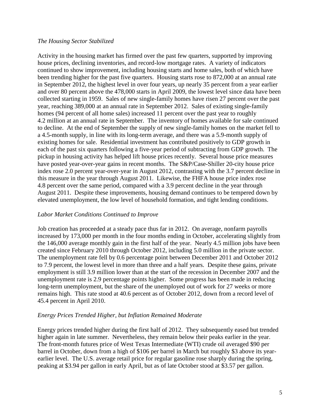#### *The Housing Sector Stabilized*

Activity in the housing market has firmed over the past few quarters, supported by improving house prices, declining inventories, and record-low mortgage rates. A variety of indicators continued to show improvement, including housing starts and home sales, both of which have been trending higher for the past five quarters. Housing starts rose to 872,000 at an annual rate in September 2012, the highest level in over four years, up nearly 35 percent from a year earlier and over 80 percent above the 478,000 starts in April 2009, the lowest level since data have been collected starting in 1959. Sales of new single-family homes have risen 27 percent over the past year, reaching 389,000 at an annual rate in September 2012. Sales of existing single-family homes (94 percent of all home sales) increased 11 percent over the past year to roughly 4.2 million at an annual rate in September. The inventory of homes available for sale continued to decline. At the end of September the supply of new single-family homes on the market fell to a 4.5-month supply, in line with its long-term average, and there was a 5.9-month supply of existing homes for sale. Residential investment has contributed positively to GDP growth in each of the past six quarters following a five-year period of subtracting from GDP growth. The pickup in housing activity has helped lift house prices recently. Several house price measures have posted year-over-year gains in recent months. The S&P/Case-Shiller 20-city house price index rose 2.0 percent year-over-year in August 2012, contrasting with the 3.7 percent decline in this measure in the year through August 2011. Likewise, the FHFA house price index rose 4.8 percent over the same period, compared with a 3.9 percent decline in the year through August 2011. Despite these improvements, housing demand continues to be tempered down by elevated unemployment, the low level of household formation, and tight lending conditions.

#### *Labor Market Conditions Continued to Improve*

Job creation has proceeded at a steady pace thus far in 2012. On average, nonfarm payrolls increased by 173,000 per month in the four months ending in October, accelerating slightly from the 146,000 average monthly gain in the first half of the year. Nearly 4.5 million jobs have been created since February 2010 through October 2012, including 5.0 million in the private sector. The unemployment rate fell by 0.6 percentage point between December 2011 and October 2012 to 7.9 percent, the lowest level in more than three and a half years. Despite these gains, private employment is still 3.9 million lower than at the start of the recession in December 2007 and the unemployment rate is 2.9 percentage points higher. Some progress has been made in reducing long-term unemployment, but the share of the unemployed out of work for 27 weeks or more remains high. This rate stood at 40.6 percent as of October 2012, down from a record level of 45.4 percent in April 2010.

#### *Energy Prices Trended Higher, but Inflation Remained Moderate*

Energy prices trended higher during the first half of 2012. They subsequently eased but trended higher again in late summer. Nevertheless, they remain below their peaks earlier in the year. The front-month futures price of West Texas Intermediate (WTI) crude oil averaged \$90 per barrel in October, down from a high of \$106 per barrel in March but roughly \$3 above its yearearlier level. The U.S. average retail price for regular gasoline rose sharply during the spring, peaking at \$3.94 per gallon in early April, but as of late October stood at \$3.57 per gallon.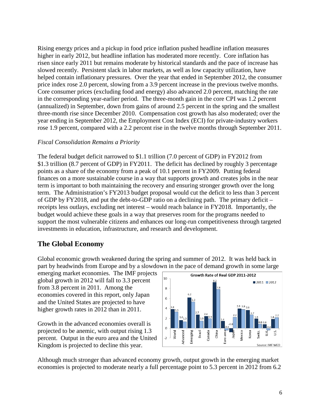Rising energy prices and a pickup in food price inflation pushed headline inflation measures higher in early 2012, but headline inflation has moderated more recently. Core inflation has risen since early 2011 but remains moderate by historical standards and the pace of increase has slowed recently. Persistent slack in labor markets, as well as low capacity utilization, have helped contain inflationary pressures. Over the year that ended in September 2012, the consumer price index rose 2.0 percent, slowing from a 3.9 percent increase in the previous twelve months. Core consumer prices (excluding food and energy) also advanced 2.0 percent, matching the rate in the corresponding year-earlier period. The three-month gain in the core CPI was 1.2 percent (annualized) in September, down from gains of around 2.5 percent in the spring and the smallest three-month rise since December 2010. Compensation cost growth has also moderated; over the year ending in September 2012, the Employment Cost Index (ECI) for private-industry workers rose 1.9 percent, compared with a 2.2 percent rise in the twelve months through September 2011.

#### *Fiscal Consolidation Remains a Priority*

The federal budget deficit narrowed to \$1.1 trillion (7.0 percent of GDP) in FY2012 from \$1.3 trillion (8.7 percent of GDP) in FY2011. The deficit has declined by roughly 3 percentage points as a share of the economy from a peak of 10.1 percent in FY2009. Putting federal finances on a more sustainable course in a way that supports growth and creates jobs in the near term is important to both maintaining the recovery and ensuring stronger growth over the long term. The Administration's FY2013 budget proposal would cut the deficit to less than 3 percent of GDP by FY2018, and put the debt-to-GDP ratio on a declining path. The primary deficit – receipts less outlays, excluding net interest – would reach balance in FY2018. Importantly, the budget would achieve these goals in a way that preserves room for the programs needed to support the most vulnerable citizens and enhances our long-run competitiveness through targeted investments in education, infrastructure, and research and development.

# <span id="page-6-0"></span>**The Global Economy**

Global economic growth weakened during the spring and summer of 2012. It was held back in part by headwinds from Europe and by a slowdown in the pace of demand growth in some large

emerging market economies. The IMF projects global growth in 2012 will fall to 3.3 percent from 3.8 percent in 2011. Among the economies covered in this report, only Japan and the United States are projected to have higher growth rates in 2012 than in 2011.

Growth in the advanced economies overall is projected to be anemic, with output rising 1.3 percent. Output in the euro area and the United Kingdom is projected to decline this year.



Although much stronger than advanced economy growth, output growth in the emerging market economies is projected to moderate nearly a full percentage point to 5.3 percent in 2012 from 6.2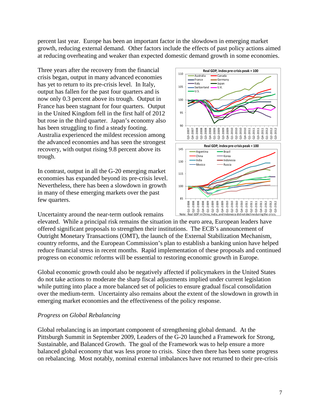percent last year. Europe has been an important factor in the slowdown in emerging market growth, reducing external demand. Other factors include the effects of past policy actions aimed at reducing overheating and weaker than expected domestic demand growth in some economies.

Three years after the recovery from the financial crisis began, output in many advanced economies has yet to return to its pre-crisis level. In Italy, output has fallen for the past four quarters and is now only 0.3 percent above its trough. Output in France has been stagnant for four quarters. Output in the United Kingdom fell in the first half of 2012 but rose in the third quarter. Japan's economy also has been struggling to find a steady footing. Australia experienced the mildest recession among the advanced economies and has seen the strongest recovery, with output rising 9.8 percent above its trough.

In contrast, output in all the G-20 emerging market economies has expanded beyond its pre-crisis level. Nevertheless, there has been a slowdown in growth in many of these emerging markets over the past few quarters.

Uncertainty around the near-term outlook remains



elevated. While a principal risk remains the situation in the euro area, European leaders have offered significant proposals to strengthen their institutions. The ECB's announcement of Outright Monetary Transactions (OMT), the launch of the External Stabilization Mechanism, country reforms, and the European Commission's plan to establish a banking union have helped reduce financial stress in recent months. Rapid implementation of these proposals and continued progress on economic reforms will be essential to restoring economic growth in Europe.

Global economic growth could also be negatively affected if policymakers in the United States do not take actions to moderate the sharp fiscal adjustments implied under current legislation while putting into place a more balanced set of policies to ensure gradual fiscal consolidation over the medium-term. Uncertainty also remains about the extent of the slowdown in growth in emerging market economies and the effectiveness of the policy response.

#### *Progress on Global Rebalancing*

Global rebalancing is an important component of strengthening global demand. At the Pittsburgh Summit in September 2009, Leaders of the G-20 launched a Framework for Strong, Sustainable, and Balanced Growth. The goal of the Framework was to help ensure a more balanced global economy that was less prone to crisis. Since then there has been some progress on rebalancing. Most notably, nominal external imbalances have not returned to their pre-crisis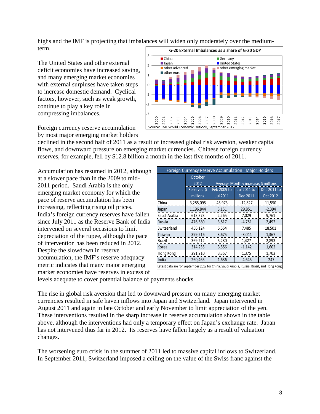highs and the IMF is projecting that imbalances will widen only moderately over the mediumterm.

The United States and other external deficit economies have increased saving, and many emerging market economies with external surpluses have taken steps to increase domestic demand. Cyclical factors, however, such as weak growth, continue to play a key role in compressing imbalances.

Foreign currency reserve accumulation by most major emerging market holders



declined in the second half of 2011 as a result of increased global risk aversion, weaker capital flows, and downward pressure on emerging market currencies. Chinese foreign currency reserves, for example, fell by \$12.8 billion a month in the last five months of 2011.

Accumulation has resumed in 2012, although at a slower pace than in the 2009 to mid-2011 period. Saudi Arabia is the only emerging market economy for which the pace of reserve accumulation has been increasing, reflecting rising oil prices. India's foreign currency reserves have fallen since July 2011 as the Reserve Bank of India intervened on several occasions to limit depreciation of the rupee, although the pace of intervention has been reduced in 2012. Despite the slowdown in reserve accumulation, the IMF's reserve adequacy metric indicates that many major emerging market economies have reserves in excess of

| Foreign Currency Reserve Accumulation: Major Holders                                       |             |                                       |                    |                 |  |  |
|--------------------------------------------------------------------------------------------|-------------|---------------------------------------|--------------------|-----------------|--|--|
|                                                                                            | October     |                                       |                    |                 |  |  |
|                                                                                            | 2012        | Average Monthly increase, \$ millions |                    |                 |  |  |
|                                                                                            | Reserves \$ | Feb 2009 to                           | <b>Jul 2011 to</b> | Dec 2011 to     |  |  |
|                                                                                            | millions    | <b>Jul 2011</b>                       | Dec 2011           | <b>Oct 2012</b> |  |  |
| China                                                                                      | 3,285,095   | 45,973                                | $-12,827$          | 11,550          |  |  |
| Japan                                                                                      | 1,196,844   | 3,151                                 | 29,851             | $-2,394$        |  |  |
| Saudi Arabia                                                                               | 613,373     | 2,265                                 | 7,029              | 9,761           |  |  |
| Russia                                                                                     | 476,380     | 3,817                                 | $-4,781$           | 2,492           |  |  |
| Switzerland                                                                                | 456,124     | 6,564                                 | 7,485              | 18,501          |  |  |
| Taiwan                                                                                     | 399,216     | 3,675                                 | $-3,044$           | 1,367           |  |  |
| Brazil                                                                                     | 369,212     | 5,230                                 | 1,427              | 2,893           |  |  |
| Korea                                                                                      | 314,255     | 3,556                                 | $-1,142$           | 1,602           |  |  |
| Hong Kong                                                                                  | 291,210     | 3,357                                 | 1,375              | 1,702           |  |  |
| India                                                                                      | 260,465     | 1,636                                 | $-4,645$           | $-247$          |  |  |
| Latest data are for September 2012 for China, Saudi Arabia, Russia, Brazil, and Hong Kong. |             |                                       |                    |                 |  |  |

levels adequate to cover potential balance of payments shocks.

The rise in global risk aversion that led to downward pressure on many emerging market currencies resulted in safe haven inflows into Japan and Switzerland. Japan intervened in August 2011 and again in late October and early November to limit appreciation of the yen. These interventions resulted in the sharp increase in reserve accumulation shown in the table above, although the interventions had only a temporary effect on Japan's exchange rate. Japan has not intervened thus far in 2012. Its reserves have fallen largely as a result of valuation changes.

The worsening euro crisis in the summer of 2011 led to massive capital inflows to Switzerland. In September 2011, Switzerland imposed a ceiling on the value of the Swiss franc against the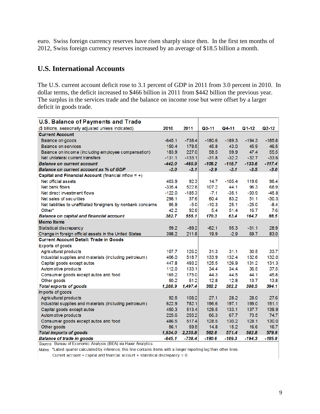euro. Swiss foreign currency reserves have risen sharply since then. In the first ten months of 2012, Swiss foreign currency reserves increased by an average of \$18.5 billion a month.

# <span id="page-9-0"></span>**U.S. International Accounts**

The U.S. current account deficit rose to 3.1 percent of GDP in 2011 from 3.0 percent in 2010. In dollar terms, the deficit increased to \$466 billion in 2011 from \$442 billion the previous year. The surplus in the services trade and the balance on income rose but were offset by a larger deficit in goods trade.

| <b>U.S. Balance of Payments and Trade</b>                      |          |          |           |          |          |                    |
|----------------------------------------------------------------|----------|----------|-----------|----------|----------|--------------------|
| (\$ billions, seasonally adjusted unless indicated)            | 2010     | 2011     | $Q3 - 11$ | Q4-11    | Q1-12    | Q <sub>2</sub> -12 |
| <b>Current Account</b>                                         |          |          |           |          |          |                    |
| Balance on goods                                               | $-645.1$ | $-738.4$ | $-180.6$  | $-189.3$ | $-194.3$ | $-185.8$           |
| Balance on services                                            | 150.4    | 178.5    | 45.8      | 43.0     | 45.9     | 46.5               |
| Balance on income (including employee compensation)            | 183.9    | 227.0    | 58.5      | 59.9     | 47.4     | 55.5               |
| Net unilateral current transfers                               | $-131.1$ | $-133.1$ | $-31.8$   | $-32.2$  | $-32.7$  | $-33.6$            |
| <b>Balance on current account</b>                              | $-442.0$ | $-465.9$ | $-108.2$  | $-118.7$ | $-133.6$ | $-117.4$           |
| <b>Balance on current account as % of GDP</b>                  | $-3.0$   | $-3.1$   | $-2.9$    | $-3.1$   | $-3.5$   | $-3.0$             |
| Capital and Financial Account (financial inflow $= +$ )        |          |          |           |          |          |                    |
| Net official assets                                            | 403.9    | 92.3     | 14.7      | $-105.4$ | 119.6    | 96.4               |
| Net bank flows                                                 | $-335.4$ | 522.8    | 107.2     | 44.1     | 96.3     | 68.9               |
| Net direct investment flows                                    | $-122.0$ | $-185.3$ | $-7.1$    | $-35.1$  | $-93.9$  | $-45.8$            |
| Net sales of securities                                        | 298.1    | 37.6     | 60.4      | 83.2     | 51.1     | $-30.3$            |
| Net liabilities to unaffiliated foreigners by nonbank concerns | 95.9     | $-5.0$   | $-10.3$   | 25.1     | $-25.0$  | $-8.4$             |
| Other*                                                         | 42.2     | 92.8     | 5.4       | 51.4     | 16.7     | 7.6                |
| Balance on capital and financial account                       | 382.7    | 555.1    | 170.3     | 63.4     | 164.7    | 88.5               |
| <b>Memo Items</b>                                              |          |          |           |          |          |                    |
| Statistical discrepancy                                        | 59.2     | $-89.2$  | $-62.1$   | 55.3     | $-31.1$  | 28.9               |
| Change in foreign official assets in the United States         | 398.2    | 211.8    | 19.9      | $-2.9$   | 69.7     | 83.0               |
| <b>Current Account Detail: Trade in Goods</b>                  |          |          |           |          |          |                    |
| Exports of goods                                               |          |          |           |          |          |                    |
| Agricultural products                                          | 107.7    | 126.2    | 31.3      | 31.1     | 30.5     | 33.7               |
| Industrial supplies and materials (including petroleum)        | 406.0    | 518.7    | 133.9     | 132.4    | 132.6    | 132.0              |
| Capital goods except autos                                     | 447.8    | 493.2    | 125.5     | 126.9    | 131.2    | 131.3              |
| Automotive products                                            | 112.0    | 133.1    | 34.4      | 34.4     | 36.5     | 37.5               |
| Consumer goods except autos and food                           | 165.2    | 175.0    | 44.3      | 44.5     | 44.1     | 45.8               |
| Other goods                                                    | 50.2     | 51.2     | 12.8      | 12.8     | 13.7     | 13.8               |
| <b>Total exports of goods</b>                                  | 1,288.9  | 1,497.4  | 382.2     | 382.2    | 388.5    | 394.1              |
| Imports of goods                                               |          |          |           |          |          |                    |
| Agricultural products                                          | 92.5     | 108.2    | 27.1      | 28.2     | 28.0     | 27.6               |
| Industrial supplies and materials (including petroleum)        | 622.9    | 782.1    | 196.6     | 197.1    | 199.0    | 191.1              |
| Capital goods except autos                                     | 450.3    | 513.4    | 129.5     | 133.1    | 137.7    | 139.9              |
| Autom otive products                                           | 225.6    | 255.2    | 66.3      | 67.7     | 73.5     | 74.7               |
| Consumer goods except autos and food                           | 486.5    | 517.4    | 128.5     | 130.2    | 128.1    | 130.0              |
| Other goods                                                    | 56.1     | 59.5     | 14.8      | 15.2     | 16.6     | 16.7               |
| <b>Total imports of goods</b>                                  | 1,934.0  | 2,235.8  | 562.8     | 571.4    | 582.8    | 579.9              |
| <b>Balance of trade in goods</b>                               | $-645.1$ | $-738.4$ | $-180.6$  | $-189.3$ | $-194.3$ | $-185.8$           |
| Source: Bureau of Economic Analysis (BEA) via Haver Analytics. |          |          |           |          |          |                    |

Notes: \*Latest quarter calculated by inference; this line contains items with a longer reporting lag than other lines.

Current account + capital and financial account + statistical discrepancy =  $0$ .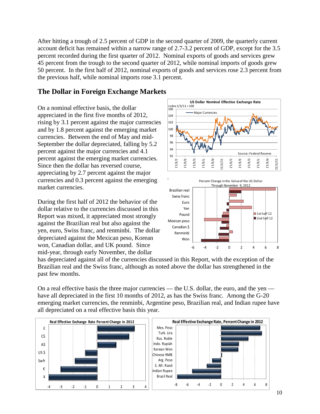After hitting a trough of 2.5 percent of GDP in the second quarter of 2009, the quarterly current account deficit has remained within a narrow range of 2.7-3.2 percent of GDP, except for the 3.5 percent recorded during the first quarter of 2012. Nominal exports of goods and services grew 45 percent from the trough to the second quarter of 2012, while nominal imports of goods grew 50 percent. In the first half of 2012, nominal exports of goods and services rose 2.3 percent from the previous half, while nominal imports rose 3.1 percent.

# <span id="page-10-0"></span>**The Dollar in Foreign Exchange Markets**

On a nominal effective basis, the dollar appreciated in the first five months of 2012, rising by 3.1 percent against the major currencies and by 1.8 percent against the emerging market currencies. Between the end of May and mid-September the dollar depreciated, falling by 5.2 percent against the major currencies and 4.1 percent against the emerging market currencies. Since then the dollar has reversed course, appreciating by 2.7 percent against the major currencies and 0.3 percent against the emerging market currencies.

During the first half of 2012 the behavior of the dollar relative to the currencies discussed in this Report was mixed, it appreciated most strongly against the Brazilian real but also against the yen, euro, Swiss franc, and renminbi. The dollar depreciated against the Mexican peso, Korean won, Canadian dollar, and UK pound. Since mid-year, through early November, the dollar





has depreciated against all of the currencies discussed in this Report, with the exception of the Brazilian real and the Swiss franc, although as noted above the dollar has strengthened in the past few months.

On a real effective basis the three major currencies — the U.S. dollar, the euro, and the yen have all depreciated in the first 10 months of 2012, as has the Swiss franc. Among the G-20 emerging market currencies, the renminbi, Argentine peso, Brazilian real, and Indian rupee have all depreciated on a real effective basis this year.

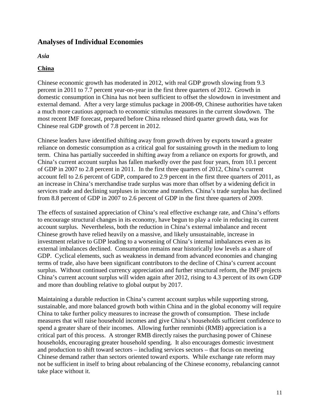# <span id="page-11-0"></span>**Analyses of Individual Economies**

<span id="page-11-1"></span>*Asia*

#### <span id="page-11-2"></span>**China**

Chinese economic growth has moderated in 2012, with real GDP growth slowing from 9.3 percent in 2011 to 7.7 percent year-on-year in the first three quarters of 2012. Growth in domestic consumption in China has not been sufficient to offset the slowdown in investment and external demand. After a very large stimulus package in 2008-09, Chinese authorities have taken a much more cautious approach to economic stimulus measures in the current slowdown. The most recent IMF forecast, prepared before China released third quarter growth data, was for Chinese real GDP growth of 7.8 percent in 2012.

Chinese leaders have identified shifting away from growth driven by exports toward a greater reliance on domestic consumption as a critical goal for sustaining growth in the medium to long term. China has partially succeeded in shifting away from a reliance on exports for growth, and China's current account surplus has fallen markedly over the past four years, from 10.1 percent of GDP in 2007 to 2.8 percent in 2011. In the first three quarters of 2012, China's current account fell to 2.6 percent of GDP, compared to 2.9 percent in the first three quarters of 2011, as an increase in China's merchandise trade surplus was more than offset by a widening deficit in services trade and declining surpluses in income and transfers. China's trade surplus has declined from 8.8 percent of GDP in 2007 to 2.6 percent of GDP in the first three quarters of 2009.

The effects of sustained appreciation of China's real effective exchange rate, and China's efforts to encourage structural changes in its economy, have begun to play a role in reducing its current account surplus. Nevertheless, both the reduction in China's external imbalance and recent Chinese growth have relied heavily on a massive, and likely unsustainable, increase in investment relative to GDP leading to a worsening of China's internal imbalances even as its external imbalances declined. Consumption remains near historically low levels as a share of GDP. Cyclical elements, such as weakness in demand from advanced economies and changing terms of trade, also have been significant contributors to the decline of China's current account surplus. Without continued currency appreciation and further structural reform, the IMF projects China's current account surplus will widen again after 2012, rising to 4.3 percent of its own GDP and more than doubling relative to global output by 2017.

Maintaining a durable reduction in China's current account surplus while supporting strong, sustainable, and more balanced growth both within China and in the global economy will require China to take further policy measures to increase the growth of consumption. These include measures that will raise household incomes and give China's households sufficient confidence to spend a greater share of their incomes. Allowing further renminbi (RMB) appreciation is a critical part of this process. A stronger RMB directly raises the purchasing power of Chinese households, encouraging greater household spending. It also encourages domestic investment and production to shift toward sectors – including services sectors – that focus on meeting Chinese demand rather than sectors oriented toward exports. While exchange rate reform may not be sufficient in itself to bring about rebalancing of the Chinese economy, rebalancing cannot take place without it.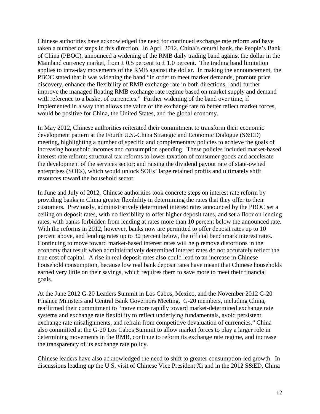Chinese authorities have acknowledged the need for continued exchange rate reform and have taken a number of steps in this direction. In April 2012, China's central bank, the People's Bank of China (PBOC), announced a widening of the RMB daily trading band against the dollar in the Mainland currency market, from  $\pm$  0.5 percent to  $\pm$  1.0 percent. The trading band limitation applies to intra-day movements of the RMB against the dollar. In making the announcement, the PBOC stated that it was widening the band "in order to meet market demands, promote price discovery, enhance the flexibility of RMB exchange rate in both directions, [and] further improve the managed floating RMB exchange rate regime based on market supply and demand with reference to a basket of currencies." Further widening of the band over time, if implemented in a way that allows the value of the exchange rate to better reflect market forces, would be positive for China, the United States, and the global economy.

In May 2012, Chinese authorities reiterated their commitment to transform their economic development pattern at the Fourth U.S.-China Strategic and Economic Dialogue (S&ED) meeting, highlighting a number of specific and complementary policies to achieve the goals of increasing household incomes and consumption spending. These policies included market-based interest rate reform; structural tax reforms to lower taxation of consumer goods and accelerate the development of the services sector; and raising the dividend payout rate of state-owned enterprises (SOEs), which would unlock SOEs' large retained profits and ultimately shift resources toward the household sector.

In June and July of 2012, Chinese authorities took concrete steps on interest rate reform by providing banks in China greater flexibility in determining the rates that they offer to their customers. Previously, administratively determined interest rates announced by the PBOC set a ceiling on deposit rates, with no flexibility to offer higher deposit rates, and set a floor on lending rates, with banks forbidden from lending at rates more than 10 percent below the announced rate. With the reforms in 2012, however, banks now are permitted to offer deposit rates up to 10 percent above, and lending rates up to 30 percent below, the official benchmark interest rates. Continuing to move toward market-based interest rates will help remove distortions in the economy that result when administratively determined interest rates do not accurately reflect the true cost of capital. A rise in real deposit rates also could lead to an increase in Chinese household consumption, because low real bank deposit rates have meant that Chinese households earned very little on their savings, which requires them to save more to meet their financial goals.

At the June 2012 G-20 Leaders Summit in Los Cabos, Mexico, and the November 2012 G-20 Finance Ministers and Central Bank Governors Meeting, G-20 members, including China, reaffirmed their commitment to "move more rapidly toward market-determined exchange rate systems and exchange rate flexibility to reflect underlying fundamentals, avoid persistent exchange rate misalignments, and refrain from competitive devaluation of currencies." China also committed at the G-20 Los Cabos Summit to allow market forces to play a larger role in determining movements in the RMB, continue to reform its exchange rate regime, and increase the transparency of its exchange rate policy.

Chinese leaders have also acknowledged the need to shift to greater consumption-led growth. In discussions leading up the U.S. visit of Chinese Vice President Xi and in the 2012 S&ED, China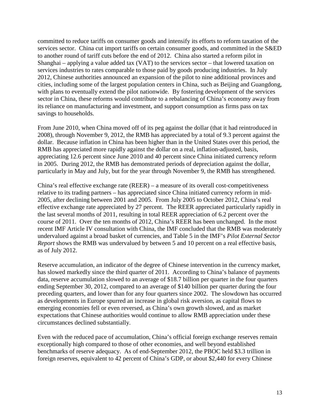committed to reduce tariffs on consumer goods and intensify its efforts to reform taxation of the services sector. China cut import tariffs on certain consumer goods, and committed in the S&ED to another round of tariff cuts before the end of 2012. China also started a reform pilot in Shanghai – applying a value added tax (VAT) to the services sector – that lowered taxation on services industries to rates comparable to those paid by goods producing industries. In July 2012, Chinese authorities announced an expansion of the pilot to nine additional provinces and cities, including some of the largest population centers in China, such as Beijing and Guangdong, with plans to eventually extend the pilot nationwide. By fostering development of the services sector in China, these reforms would contribute to a rebalancing of China's economy away from its reliance on manufacturing and investment, and support consumption as firms pass on tax savings to households.

From June 2010, when China moved off of its peg against the dollar (that it had reintroduced in 2008), through November 9, 2012, the RMB has appreciated by a total of 9.3 percent against the dollar. Because inflation in China has been higher than in the United States over this period, the RMB has appreciated more rapidly against the dollar on a real, inflation-adjusted, basis, appreciating 12.6 percent since June 2010 and 40 percent since China initiated currency reform in 2005. During 2012, the RMB has demonstrated periods of depreciation against the dollar, particularly in May and July, but for the year through November 9, the RMB has strengthened.

China's real effective exchange rate (REER) – a measure of its overall cost-competitiveness relative to its trading partners – has appreciated since China initiated currency reform in mid-2005, after declining between 2001 and 2005. From July 2005 to October 2012, China's real effective exchange rate appreciated by 27 percent. The REER appreciated particularly rapidly in the last several months of 2011, resulting in total REER appreciation of 6.2 percent over the course of 2011. Over the ten months of 2012, China's REER has been unchanged. In the most recent IMF Article IV consultation with China, the IMF concluded that the RMB was moderately undervalued against a broad basket of currencies, and Table 5 in the IMF's *Pilot External Sector Report* shows the RMB was undervalued by between 5 and 10 percent on a real effective basis, as of July 2012.

Reserve accumulation, an indicator of the degree of Chinese intervention in the currency market, has slowed markedly since the third quarter of 2011. According to China's balance of payments data, reserve accumulation slowed to an average of \$18.7 billion per quarter in the four quarters ending September 30, 2012, compared to an average of \$140 billion per quarter during the four preceding quarters, and lower than for any four quarters since 2002. The slowdown has occurred as developments in Europe spurred an increase in global risk aversion, as capital flows to emerging economies fell or even reversed, as China's own growth slowed, and as market expectations that Chinese authorities would continue to allow RMB appreciation under these circumstances declined substantially.

Even with the reduced pace of accumulation, China's official foreign exchange reserves remain exceptionally high compared to those of other economies, and well beyond established benchmarks of reserve adequacy. As of end-September 2012, the PBOC held \$3.3 trillion in foreign reserves, equivalent to 42 percent of China's GDP, or about \$2,440 for every Chinese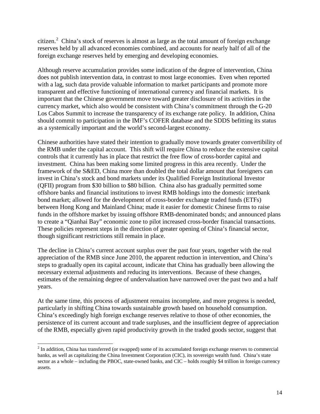citizen.<sup>[2](#page-0-0)</sup> China's stock of reserves is almost as large as the total amount of foreign exchange reserves held by all advanced economies combined, and accounts for nearly half of all of the foreign exchange reserves held by emerging and developing economies.

Although reserve accumulation provides some indication of the degree of intervention, China does not publish intervention data, in contrast to most large economies. Even when reported with a lag, such data provide valuable information to market participants and promote more transparent and effective functioning of international currency and financial markets. It is important that the Chinese government move toward greater disclosure of its activities in the currency market, which also would be consistent with China's commitment through the G-20 Los Cabos Summit to increase the transparency of its exchange rate policy. In addition, China should commit to participation in the IMF's COFER database and the SDDS befitting its status as a systemically important and the world's second-largest economy.

Chinese authorities have stated their intention to gradually move towards greater convertibility of the RMB under the capital account. This shift will require China to reduce the extensive capital controls that it currently has in place that restrict the free flow of cross-border capital and investment. China has been making some limited progress in this area recently. Under the framework of the S&ED, China more than doubled the total dollar amount that foreigners can invest in China's stock and bond markets under its Qualified Foreign Institutional Investor (QFII) program from \$30 billion to \$80 billion. China also has gradually permitted some offshore banks and financial institutions to invest RMB holdings into the domestic interbank bond market; allowed for the development of cross-border exchange traded funds (ETFs) between Hong Kong and Mainland China; made it easier for domestic Chinese firms to raise funds in the offshore market by issuing offshore RMB-denominated bonds; and announced plans to create a "Qianhai Bay" economic zone to pilot increased cross-border financial transactions. These policies represent steps in the direction of greater opening of China's financial sector, though significant restrictions still remain in place.

The decline in China's current account surplus over the past four years, together with the real appreciation of the RMB since June 2010, the apparent reduction in intervention, and China's steps to gradually open its capital account, indicate that China has gradually been allowing the necessary external adjustments and reducing its interventions. Because of these changes, estimates of the remaining degree of undervaluation have narrowed over the past two and a half years.

At the same time, this process of adjustment remains incomplete, and more progress is needed, particularly in shifting China towards sustainable growth based on household consumption. China's exceedingly high foreign exchange reserves relative to those of other economies, the persistence of its current account and trade surpluses, and the insufficient degree of appreciation of the RMB, especially given rapid productivity growth in the traded goods sector, suggest that

<span id="page-14-0"></span> $2 \text{ In addition, China has transferred (or swapped) some of its accumulated foreign exchange reserves to commercial$ banks, as well as capitalizing the China Investment Corporation (CIC), its sovereign wealth fund. China's state sector as a whole – including the PBOC, state-owned banks, and CIC – holds roughly \$4 trillion in foreign currency assets.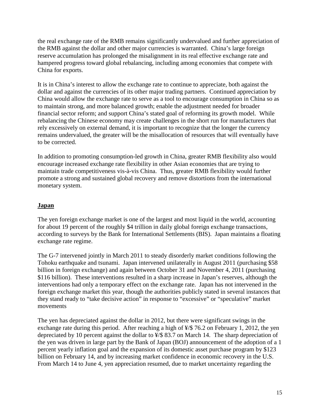the real exchange rate of the RMB remains significantly undervalued and further appreciation of the RMB against the dollar and other major currencies is warranted. China's large foreign reserve accumulation has prolonged the misalignment in its real effective exchange rate and hampered progress toward global rebalancing, including among economies that compete with China for exports.

It is in China's interest to allow the exchange rate to continue to appreciate, both against the dollar and against the currencies of its other major trading partners. Continued appreciation by China would allow the exchange rate to serve as a tool to encourage consumption in China so as to maintain strong, and more balanced growth; enable the adjustment needed for broader financial sector reform; and support China's stated goal of reforming its growth model. While rebalancing the Chinese economy may create challenges in the short run for manufacturers that rely excessively on external demand, it is important to recognize that the longer the currency remains undervalued, the greater will be the misallocation of resources that will eventually have to be corrected.

In addition to promoting consumption-led growth in China, greater RMB flexibility also would encourage increased exchange rate flexibility in other Asian economies that are trying to maintain trade competitiveness vis-à-vis China. Thus, greater RMB flexibility would further promote a strong and sustained global recovery and remove distortions from the international monetary system.

#### <span id="page-15-0"></span>**Japan**

The yen foreign exchange market is one of the largest and most liquid in the world, accounting for about 19 percent of the roughly \$4 trillion in daily global foreign exchange transactions, according to surveys by the Bank for International Settlements (BIS). Japan maintains a floating exchange rate regime.

The G-7 intervened jointly in March 2011 to steady disorderly market conditions following the Tohoku earthquake and tsunami. Japan intervened unilaterally in August 2011 (purchasing \$58 billion in foreign exchange) and again between October 31 and November 4, 2011 (purchasing \$116 billion). These interventions resulted in a sharp increase in Japan's reserves, although the interventions had only a temporary effect on the exchange rate. Japan has not intervened in the foreign exchange market this year, though the authorities publicly stated in several instances that they stand ready to "take decisive action" in response to "excessive" or "speculative" market movements

The yen has depreciated against the dollar in 2012, but there were significant swings in the exchange rate during this period. After reaching a high of ¥/\$ 76.2 on February 1, 2012, the yen depreciated by 10 percent against the dollar to  $\frac{4}{3}$  83.7 on March 14. The sharp depreciation of the yen was driven in large part by the Bank of Japan (BOJ) announcement of the adoption of a 1 percent yearly inflation goal and the expansion of its domestic asset purchase program by \$123 billion on February 14, and by increasing market confidence in economic recovery in the U.S. From March 14 to June 4, yen appreciation resumed, due to market uncertainty regarding the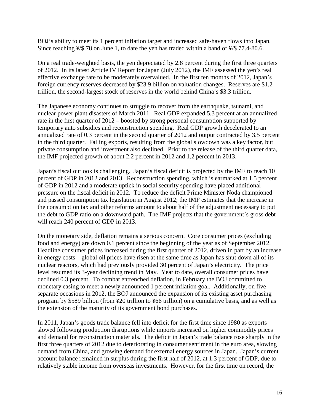BOJ's ability to meet its 1 percent inflation target and increased safe-haven flows into Japan. Since reaching  $\frac{1}{5}$  78 on June 1, to date the yen has traded within a band of  $\frac{1}{5}$  77.4-80.6.

On a real trade-weighted basis, the yen depreciated by 2.8 percent during the first three quarters of 2012. In its latest Article IV Report for Japan (July 2012), the IMF assessed the yen's real effective exchange rate to be moderately overvalued. In the first ten months of 2012, Japan's foreign currency reserves decreased by \$23.9 billion on valuation changes. Reserves are \$1.2 trillion, the second-largest stock of reserves in the world behind China's \$3.3 trillion.

The Japanese economy continues to struggle to recover from the earthquake, tsunami, and nuclear power plant disasters of March 2011. Real GDP expanded 5.3 percent at an annualized rate in the first quarter of 2012 – boosted by strong personal consumption supported by temporary auto subsidies and reconstruction spending. Real GDP growth decelerated to an annualized rate of 0.3 percent in the second quarter of 2012 and output contracted by 3.5 percent in the third quarter. Falling exports, resulting from the global slowdown was a key factor, but private consumption and investment also declined. Prior to the release of the third quarter data, the IMF projected growth of about 2.2 percent in 2012 and 1.2 percent in 2013.

Japan's fiscal outlook is challenging. Japan's fiscal deficit is projected by the IMF to reach 10 percent of GDP in 2012 and 2013. Reconstruction spending, which is earmarked at 1.5 percent of GDP in 2012 and a moderate uptick in social security spending have placed additional pressure on the fiscal deficit in 2012. To reduce the deficit Prime Minister Noda championed and passed consumption tax legislation in August 2012; the IMF estimates that the increase in the consumption tax and other reforms amount to about half of the adjustment necessary to put the debt to GDP ratio on a downward path. The IMF projects that the government's gross debt will reach 240 percent of GDP in 2013.

On the monetary side, deflation remains a serious concern. Core consumer prices (excluding food and energy) are down 0.1 percent since the beginning of the year as of September 2012. Headline consumer prices increased during the first quarter of 2012, driven in part by an increase in energy costs – global oil prices have risen at the same time as Japan has shut down all of its nuclear reactors, which had previously provided 30 percent of Japan's electricity. The price level resumed its 3-year declining trend in May. Year to date, overall consumer prices have declined 0.3 percent. To combat entrenched deflation, in February the BOJ committed to monetary easing to meet a newly announced 1 percent inflation goal. Additionally, on five separate occasions in 2012, the BOJ announced the expansion of its existing asset purchasing program by \$589 billion (from ¥20 trillion to ¥66 trillion) on a cumulative basis, and as well as the extension of the maturity of its government bond purchases.

In 2011, Japan's goods trade balance fell into deficit for the first time since 1980 as exports slowed following production disruptions while imports increased on higher commodity prices and demand for reconstruction materials. The deficit in Japan's trade balance rose sharply in the first three quarters of 2012 due to deteriorating in consumer sentiment in the euro area, slowing demand from China, and growing demand for external energy sources in Japan. Japan's current account balance remained in surplus during the first half of 2012, at 1.3 percent of GDP, due to relatively stable income from overseas investments. However, for the first time on record, the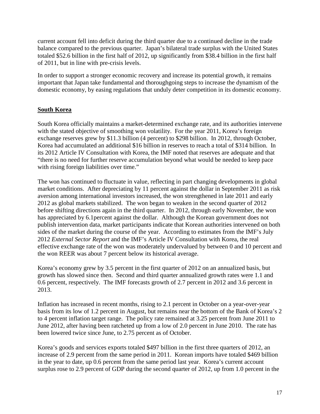current account fell into deficit during the third quarter due to a continued decline in the trade balance compared to the previous quarter. Japan's bilateral trade surplus with the United States totaled \$52.6 billion in the first half of 2012, up significantly from \$38.4 billion in the first half of 2011, but in line with pre-crisis levels.

In order to support a stronger economic recovery and increase its potential growth, it remains important that Japan take fundamental and thoroughgoing steps to increase the dynamism of the domestic economy, by easing regulations that unduly deter competition in its domestic economy.

#### <span id="page-17-0"></span>**South Korea**

South Korea officially maintains a market-determined exchange rate, and its authorities intervene with the stated objective of smoothing won volatility. For the year 2011, Korea's foreign exchange reserves grew by \$11.3 billion (4 percent) to \$298 billion. In 2012, through October, Korea had accumulated an additional \$16 billion in reserves to reach a total of \$314 billion. In its 2012 Article IV Consultation with Korea, the IMF noted that reserves are adequate and that "there is no need for further reserve accumulation beyond what would be needed to keep pace with rising foreign liabilities over time."

The won has continued to fluctuate in value, reflecting in part changing developments in global market conditions. After depreciating by 11 percent against the dollar in September 2011 as risk aversion among international investors increased, the won strengthened in late 2011 and early 2012 as global markets stabilized. The won began to weaken in the second quarter of 2012 before shifting directions again in the third quarter. In 2012, through early November, the won has appreciated by 6.1percent against the dollar. Although the Korean government does not publish intervention data, market participants indicate that Korean authorities intervened on both sides of the market during the course of the year. According to estimates from the IMF's July 2012 *External Sector Report* and the IMF's Article IV Consultation with Korea, the real effective exchange rate of the won was moderately undervalued by between 0 and 10 percent and the won REER was about 7 percent below its historical average.

Korea's economy grew by 3.5 percent in the first quarter of 2012 on an annualized basis, but growth has slowed since then. Second and third quarter annualized growth rates were 1.1 and 0.6 percent, respectively. The IMF forecasts growth of 2.7 percent in 2012 and 3.6 percent in 2013.

Inflation has increased in recent months, rising to 2.1 percent in October on a year-over-year basis from its low of 1.2 percent in August, but remains near the bottom of the Bank of Korea's 2 to 4 percent inflation target range. The policy rate remained at 3.25 percent from June 2011 to June 2012, after having been ratcheted up from a low of 2.0 percent in June 2010. The rate has been lowered twice since June, to 2.75 percent as of October.

Korea's goods and services exports totaled \$497 billion in the first three quarters of 2012, an increase of 2.9 percent from the same period in 2011. Korean imports have totaled \$469 billion in the year to date, up 0.6 percent from the same period last year. Korea's current account surplus rose to 2.9 percent of GDP during the second quarter of 2012, up from 1.0 percent in the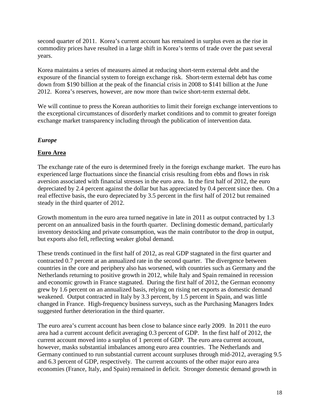second quarter of 2011. Korea's current account has remained in surplus even as the rise in commodity prices have resulted in a large shift in Korea's terms of trade over the past several years.

Korea maintains a series of measures aimed at reducing short-term external debt and the exposure of the financial system to foreign exchange risk. Short-term external debt has come down from \$190 billion at the peak of the financial crisis in 2008 to \$141 billion at the June 2012. Korea's reserves, however, are now more than twice short-term external debt.

We will continue to press the Korean authorities to limit their foreign exchange interventions to the exceptional circumstances of disorderly market conditions and to commit to greater foreign exchange market transparency including through the publication of intervention data.

# <span id="page-18-0"></span>*Europe*

# <span id="page-18-1"></span>**Euro Area**

The exchange rate of the euro is determined freely in the foreign exchange market. The euro has experienced large fluctuations since the financial crisis resulting from ebbs and flows in risk aversion associated with financial stresses in the euro area. In the first half of 2012, the euro depreciated by 2.4 percent against the dollar but has appreciated by 0.4 percent since then. On a real effective basis, the euro depreciated by 3.5 percent in the first half of 2012 but remained steady in the third quarter of 2012.

Growth momentum in the euro area turned negative in late in 2011 as output contracted by 1.3 percent on an annualized basis in the fourth quarter. Declining domestic demand, particularly inventory destocking and private consumption, was the main contributor to the drop in output, but exports also fell, reflecting weaker global demand.

These trends continued in the first half of 2012, as real GDP stagnated in the first quarter and contracted 0.7 percent at an annualized rate in the second quarter. The divergence between countries in the core and periphery also has worsened, with countries such as Germany and the Netherlands returning to positive growth in 2012, while Italy and Spain remained in recession and economic growth in France stagnated. During the first half of 2012, the German economy grew by 1.6 percent on an annualized basis, relying on rising net exports as domestic demand weakened. Output contracted in Italy by 3.3 percent, by 1.5 percent in Spain, and was little changed in France. High-frequency business surveys, such as the Purchasing Managers Index suggested further deterioration in the third quarter.

The euro area's current account has been close to balance since early 2009. In 2011 the euro area had a current account deficit averaging 0.3 percent of GDP. In the first half of 2012, the current account moved into a surplus of 1 percent of GDP. The euro area current account, however, masks substantial imbalances among euro area countries. The Netherlands and Germany continued to run substantial current account surpluses through mid-2012, averaging 9.5 and 6.3 percent of GDP, respectively. The current accounts of the other major euro area economies (France, Italy, and Spain) remained in deficit. Stronger domestic demand growth in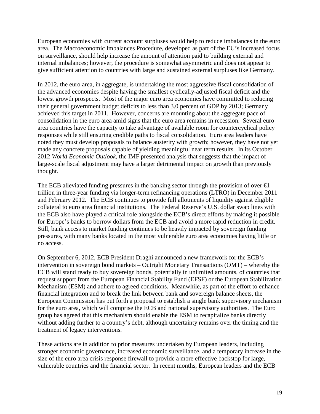European economies with current account surpluses would help to reduce imbalances in the euro area. The Macroeconomic Imbalances Procedure, developed as part of the EU's increased focus on surveillance, should help increase the amount of attention paid to building external and internal imbalances; however, the procedure is somewhat asymmetric and does not appear to give sufficient attention to countries with large and sustained external surpluses like Germany.

In 2012, the euro area, in aggregate, is undertaking the most aggressive fiscal consolidation of the advanced economies despite having the smallest cyclically-adjusted fiscal deficit and the lowest growth prospects. Most of the major euro area economies have committed to reducing their general government budget deficits to less than 3.0 percent of GDP by 2013; Germany achieved this target in 2011. However, concerns are mounting about the aggregate pace of consolidation in the euro area amid signs that the euro area remains in recession. Several euro area countries have the capacity to take advantage of available room for countercyclical policy responses while still ensuring credible paths to fiscal consolidation. Euro area leaders have noted they must develop proposals to balance austerity with growth; however, they have not yet made any concrete proposals capable of yielding meaningful near term results. In its October 2012 *World Economic Outlook*, the IMF presented analysis that suggests that the impact of large-scale fiscal adjustment may have a larger detrimental impact on growth than previously thought.

The ECB alleviated funding pressures in the banking sector through the provision of over  $\epsilon$ trillion in three-year funding via longer-term refinancing operations (LTRO) in December 2011 and February 2012. The ECB continues to provide full allotments of liquidity against eligible collateral to euro area financial institutions. The Federal Reserve's U.S. dollar swap lines with the ECB also have played a critical role alongside the ECB's direct efforts by making it possible for Europe's banks to borrow dollars from the ECB and avoid a more rapid reduction in credit. Still, bank access to market funding continues to be heavily impacted by sovereign funding pressures, with many banks located in the most vulnerable euro area economies having little or no access.

On September 6, 2012, ECB President Draghi announced a new framework for the ECB's intervention in sovereign bond markets – Outright Monetary Transactions (OMT) – whereby the ECB will stand ready to buy sovereign bonds, potentially in unlimited amounts, of countries that request support from the European Financial Stability Fund (EFSF) or the European Stabilization Mechanism (ESM) and adhere to agreed conditions. Meanwhile, as part of the effort to enhance financial integration and to break the link between bank and sovereign balance sheets, the European Commission has put forth a proposal to establish a single bank supervisory mechanism for the euro area, which will comprise the ECB and national supervisory authorities. The Euro group has agreed that this mechanism should enable the ESM to recapitalize banks directly without adding further to a country's debt, although uncertainty remains over the timing and the treatment of legacy interventions.

These actions are in addition to prior measures undertaken by European leaders, including stronger economic governance, increased economic surveillance, and a temporary increase in the size of the euro area crisis response firewall to provide a more effective backstop for large, vulnerable countries and the financial sector. In recent months, European leaders and the ECB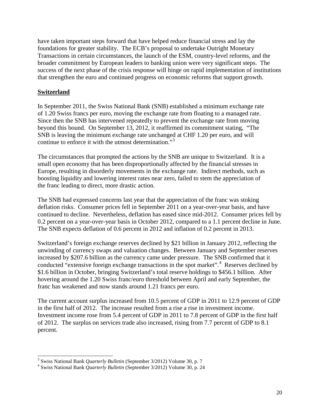have taken important steps forward that have helped reduce financial stress and lay the foundations for greater stability. The ECB's proposal to undertake Outright Monetary Transactions in certain circumstances, the launch of the ESM, country-level reforms, and the broader commitment by European leaders to banking union were very significant steps. The success of the next phase of the crisis response will hinge on rapid implementation of institutions that strengthen the euro and continued progress on economic reforms that support growth.

#### <span id="page-20-0"></span>**Switzerland**

In September 2011, the Swiss National Bank (SNB) established a minimum exchange rate of 1.20 Swiss francs per euro, moving the exchange rate from floating to a managed rate. Since then the SNB has intervened repeatedly to prevent the exchange rate from moving beyond this bound. On September 13, 2012, it reaffirmed its commitment stating, "The SNB is leaving the minimum exchange rate unchanged at CHF 1.20 per euro, and will continue to enforce it with the utmost determination."<sup>[3](#page-14-0)</sup>

The circumstances that prompted the actions by the SNB are unique to Switzerland. It is a small open economy that has been disproportionally affected by the financial stresses in Europe, resulting in disorderly movements in the exchange rate. Indirect methods, such as boosting liquidity and lowering interest rates near zero, failed to stem the appreciation of the franc leading to direct, more drastic action.

The SNB had expressed concerns last year that the appreciation of the franc was stoking deflation risks. Consumer prices fell in September 2011 on a year-over-year basis, and have continued to decline. Nevertheless, deflation has eased since mid-2012. Consumer prices fell by 0.2 percent on a year-over-year basis in October 2012, compared to a 1.1 percent decline in June. The SNB expects deflation of 0.6 percent in 2012 and inflation of 0.2 percent in 2013.

Switzerland's foreign exchange reserves declined by \$21 billion in January 2012, reflecting the unwinding of currency swaps and valuation changes. Between January and September reserves increased by \$207.6 billion as the currency came under pressure. The SNB confirmed that it conducted "extensive foreign exchange transactions in the spot market".<sup>[4](#page-20-1)</sup> Reserves declined by \$1.6 billion in October, bringing Switzerland's total reserve holdings to \$456.1 billion. After hovering around the 1.20 Swiss franc/euro threshold between April and early September, the franc has weakened and now stands around 1.21 francs per euro.

The current account surplus increased from 10.5 percent of GDP in 2011 to 12.9 percent of GDP in the first half of 2012. The increase resulted from a rise a rise in investment income. Investment income rose from 5.4 percent of GDP in 2011 to 7.8 percent of GDP in the first half of 2012. The surplus on services trade also increased, rising from 7.7 percent of GDP to 8.1 percent.

<sup>3</sup> Swiss National Bank *Quarterly Bulletin* (September 3/2012) Volume 30, p. 7 <sup>4</sup> Swiss National Bank *Quarterly Bulletin* (September 3/2012) Volume 30, p. 24

<span id="page-20-1"></span>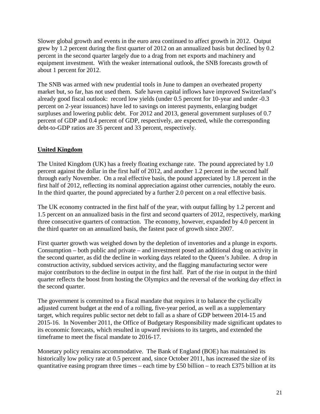Slower global growth and events in the euro area continued to affect growth in 2012. Output grew by 1.2 percent during the first quarter of 2012 on an annualized basis but declined by 0.2 percent in the second quarter largely due to a drag from net exports and machinery and equipment investment. With the weaker international outlook, the SNB forecasts growth of about 1 percent for 2012.

The SNB was armed with new prudential tools in June to dampen an overheated property market but, so far, has not used them. Safe haven capital inflows have improved Switzerland's already good fiscal outlook: record low yields (under 0.5 percent for 10-year and under -0.3 percent on 2-year issuances) have led to savings on interest payments, enlarging budget surpluses and lowering public debt. For 2012 and 2013, general government surpluses of 0.7 percent of GDP and 0.4 percent of GDP, respectively, are expected, while the corresponding debt-to-GDP ratios are 35 percent and 33 percent, respectively.

# <span id="page-21-0"></span>**United Kingdom**

The United Kingdom (UK) has a freely floating exchange rate. The pound appreciated by 1.0 percent against the dollar in the first half of 2012, and another 1.2 percent in the second half through early November. On a real effective basis, the pound appreciated by 1.8 percent in the first half of 2012, reflecting its nominal appreciation against other currencies, notably the euro. In the third quarter, the pound appreciated by a further 2.0 percent on a real effective basis.

The UK economy contracted in the first half of the year, with output falling by 1.2 percent and 1.5 percent on an annualized basis in the first and second quarters of 2012, respectively, marking three consecutive quarters of contraction. The economy, however, expanded by 4.0 percent in the third quarter on an annualized basis, the fastest pace of growth since 2007.

First quarter growth was weighed down by the depletion of inventories and a plunge in exports. Consumption – both public and private – and investment posed an additional drag on activity in the second quarter, as did the decline in working days related to the Queen's Jubilee. A drop in construction activity, subdued services activity, and the flagging manufacturing sector were major contributors to the decline in output in the first half. Part of the rise in output in the third quarter reflects the boost from hosting the Olympics and the reversal of the working day effect in the second quarter.

The government is committed to a fiscal mandate that requires it to balance the cyclically adjusted current budget at the end of a rolling, five-year period, as well as a supplementary target, which requires public sector net debt to fall as a share of GDP between 2014-15 and 2015-16. In November 2011, the Office of Budgetary Responsibility made significant updates to its economic forecasts, which resulted in upward revisions to its targets, and extended the timeframe to meet the fiscal mandate to 2016-17.

Monetary policy remains accommodative. The Bank of England (BOE) has maintained its historically low policy rate at 0.5 percent and, since October 2011, has increased the size of its quantitative easing program three times – each time by £50 billion – to reach £375 billion at its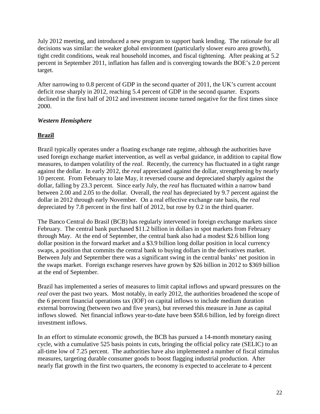July 2012 meeting, and introduced a new program to support bank lending. The rationale for all decisions was similar: the weaker global environment (particularly slower euro area growth), tight credit conditions, weak real household incomes, and fiscal tightening. After peaking at 5.2 percent in September 2011, inflation has fallen and is converging towards the BOE's 2.0 percent target.

After narrowing to 0.8 percent of GDP in the second quarter of 2011, the UK's current account deficit rose sharply in 2012, reaching 5.4 percent of GDP in the second quarter. Exports declined in the first half of 2012 and investment income turned negative for the first times since 2000.

# <span id="page-22-0"></span>*Western Hemisphere*

# <span id="page-22-1"></span>**Brazil**

Brazil typically operates under a floating exchange rate regime, although the authorities have used foreign exchange market intervention, as well as verbal guidance, in addition to capital flow measures, to dampen volatility of the *real*. Recently, the currency has fluctuated in a tight range against the dollar. In early 2012, the *real* appreciated against the dollar, strengthening by nearly 10 percent. From February to late May, it reversed course and depreciated sharply against the dollar, falling by 23.3 percent. Since early July, the *real* has fluctuated within a narrow band between 2.00 and 2.05 to the dollar. Overall, the *real* has depreciated by 9.7 percent against the dollar in 2012 through early November. On a real effective exchange rate basis, the *real* depreciated by 7.8 percent in the first half of 2012, but rose by 0.2 in the third quarter.

The Banco Central do Brasil (BCB) has regularly intervened in foreign exchange markets since February. The central bank purchased \$11.2 billion in dollars in spot markets from February through May. At the end of September, the central bank also had a modest \$2.6 billion long dollar position in the forward market and a \$3.9 billion long dollar position in local currency swaps, a position that commits the central bank to buying dollars in the derivatives market. Between July and September there was a significant swing in the central banks' net position in the swaps market. Foreign exchange reserves have grown by \$26 billion in 2012 to \$369 billion at the end of September.

Brazil has implemented a series of measures to limit capital inflows and upward pressures on the *real* over the past two years. Most notably, in early 2012, the authorities broadened the scope of the 6 percent financial operations tax (IOF) on capital inflows to include medium duration external borrowing (between two and five years), but reversed this measure in June as capital inflows slowed. Net financial inflows year-to-date have been \$58.6 billion, led by foreign direct investment inflows.

In an effort to stimulate economic growth, the BCB has pursued a 14-month monetary easing cycle, with a cumulative 525 basis points in cuts, bringing the official policy rate (SELIC) to an all-time low of 7.25 percent. The authorities have also implemented a number of fiscal stimulus measures, targeting durable consumer goods to boost flagging industrial production. After nearly flat growth in the first two quarters, the economy is expected to accelerate to 4 percent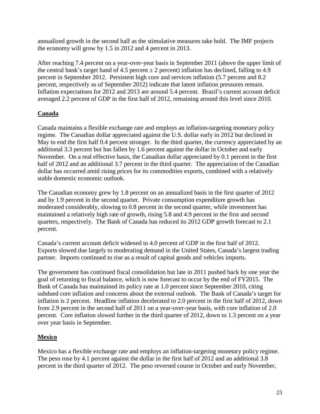annualized growth in the second half as the stimulative measures take hold. The IMF projects the economy will grow by 1.5 in 2012 and 4 percent in 2013.

After reaching 7.4 percent on a year-over-year basis in September 2011 (above the upper limit of the central bank's target band of 4.5 percent  $\pm 2$  percent) inflation has declined, falling to 4.9 percent in September 2012. Persistent high core and services inflation (5.7 percent and 8.2 percent, respectively as of September 2012) indicate that latent inflation pressures remain. Inflation expectations for 2012 and 2013 are around 5.4 percent. Brazil's current account deficit averaged 2.2 percent of GDP in the first half of 2012, remaining around this level since 2010.

# <span id="page-23-0"></span>**Canada**

Canada maintains a flexible exchange rate and employs an inflation-targeting monetary policy regime. The Canadian dollar appreciated against the U.S. dollar early in 2012 but declined in May to end the first half 0.4 percent stronger. In the third quarter, the currency appreciated by an additional 3.3 percent but has fallen by 1.6 percent against the dollar in October and early November. On a real effective basis, the Canadian dollar appreciated by 0.1 percent in the first half of 2012 and an additional 3.7 percent in the third quarter. The appreciation of the Canadian dollar has occurred amid rising prices for its commodities exports, combined with a relatively stable domestic economic outlook.

The Canadian economy grew by 1.8 percent on an annualized basis in the first quarter of 2012 and by 1.9 percent in the second quarter. Private consumption expenditure growth has moderated considerably, slowing to 0.8 percent in the second quarter, while investment has maintained a relatively high rate of growth, rising 5.8 and 4.9 percent in the first and second quarters, respectively. The Bank of Canada has reduced its 2012 GDP growth forecast to 2.1 percent.

Canada's current account deficit widened to 4.0 percent of GDP in the first half of 2012. Exports slowed due largely to moderating demand in the United States, Canada's largest trading partner. Imports continued to rise as a result of capital goods and vehicles imports.

The government has continued fiscal consolidation but late in 2011 pushed back by one year the goal of returning to fiscal balance, which is now forecast to occur by the end of FY2015. The Bank of Canada has maintained its policy rate at 1.0 percent since September 2010, citing subdued core inflation and concerns about the external outlook. The Bank of Canada's target for inflation is 2 percent. Headline inflation decelerated to 2.0 percent in the first half of 2012, down from 2.9 percent in the second half of 2011 on a year-over-year basis, with core inflation of 2.0 percent. Core inflation slowed further in the third quarter of 2012, down to 1.3 percent on a year over year basis in September.

# <span id="page-23-1"></span>**Mexico**

Mexico has a flexible exchange rate and employs an inflation-targeting monetary policy regime. The peso rose by 4.1 percent against the dollar in the first half of 2012 and an additional 3.8 percent in the third quarter of 2012. The peso reversed course in October and early November,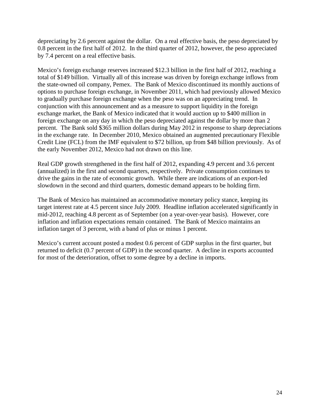depreciating by 2.6 percent against the dollar. On a real effective basis, the peso depreciated by 0.8 percent in the first half of 2012. In the third quarter of 2012, however, the peso appreciated by 7.4 percent on a real effective basis.

Mexico's foreign exchange reserves increased \$12.3 billion in the first half of 2012, reaching a total of \$149 billion. Virtually all of this increase was driven by foreign exchange inflows from the state-owned oil company, Pemex. The Bank of Mexico discontinued its monthly auctions of options to purchase foreign exchange, in November 2011, which had previously allowed Mexico to gradually purchase foreign exchange when the peso was on an appreciating trend. In conjunction with this announcement and as a measure to support liquidity in the foreign exchange market, the Bank of Mexico indicated that it would auction up to \$400 million in foreign exchange on any day in which the peso depreciated against the dollar by more than 2 percent. The Bank sold \$365 million dollars during May 2012 in response to sharp depreciations in the exchange rate. In December 2010, Mexico obtained an augmented precautionary Flexible Credit Line (FCL) from the IMF equivalent to \$72 billion, up from \$48 billion previously. As of the early November 2012, Mexico had not drawn on this line.

Real GDP growth strengthened in the first half of 2012, expanding 4.9 percent and 3.6 percent (annualized) in the first and second quarters, respectively. Private consumption continues to drive the gains in the rate of economic growth. While there are indications of an export-led slowdown in the second and third quarters, domestic demand appears to be holding firm.

The Bank of Mexico has maintained an accommodative monetary policy stance, keeping its target interest rate at 4.5 percent since July 2009. Headline inflation accelerated significantly in mid-2012, reaching 4.8 percent as of September (on a year-over-year basis). However, core inflation and inflation expectations remain contained. The Bank of Mexico maintains an inflation target of 3 percent, with a band of plus or minus 1 percent.

Mexico's current account posted a modest 0.6 percent of GDP surplus in the first quarter, but returned to deficit (0.7 percent of GDP) in the second quarter. A decline in exports accounted for most of the deterioration, offset to some degree by a decline in imports.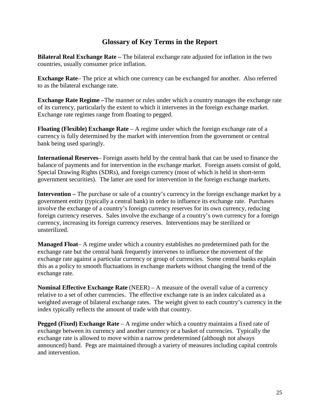# **Glossary of Key Terms in the Report**

<span id="page-25-0"></span>**Bilateral Real Exchange Rate –** The bilateral exchange rate adjusted for inflation in the two countries, usually consumer price inflation.

**Exchange Rate**– The price at which one currency can be exchanged for another. Also referred to as the bilateral exchange rate.

**Exchange Rate Regime –**The manner or rules under which a country manages the exchange rate of its currency, particularly the extent to which it intervenes in the foreign exchange market. Exchange rate regimes range from floating to pegged.

**Floating (Flexible) Exchange Rate** – A regime under which the foreign exchange rate of a currency is fully determined by the market with intervention from the government or central bank being used sparingly.

**International Reserves**– Foreign assets held by the central bank that can be used to finance the balance of payments and for intervention in the exchange market. Foreign assets consist of gold, Special Drawing Rights (SDRs), and foreign currency (most of which is held in short-term government securities). The latter are used for intervention in the foreign exchange markets.

**Intervention –** The purchase or sale of a country's currency in the foreign exchange market by a government entity (typically a central bank) in order to influence its exchange rate. Purchases involve the exchange of a country's foreign currency reserves for its own currency, reducing foreign currency reserves. Sales involve the exchange of a country's own currency for a foreign currency, increasing its foreign currency reserves. Interventions may be sterilized or unsterilized.

**Managed Float**– A regime under which a country establishes no predetermined path for the exchange rate but the central bank frequently intervenes to influence the movement of the exchange rate against a particular currency or group of currencies. Some central banks explain this as a policy to smooth fluctuations in exchange markets without changing the trend of the exchange rate.

**Nominal Effective Exchange Rate** (NEER) – A measure of the overall value of a currency relative to a set of other currencies. The effective exchange rate is an index calculated as a weighted average of bilateral exchange rates. The weight given to each country's currency in the index typically reflects the amount of trade with that country.

**Pegged (Fixed) Exchange Rate** – A regime under which a country maintains a fixed rate of exchange between its currency and another currency or a basket of currencies. Typically the exchange rate is allowed to move within a narrow predetermined (although not always announced) band. Pegs are maintained through a variety of measures including capital controls and intervention.